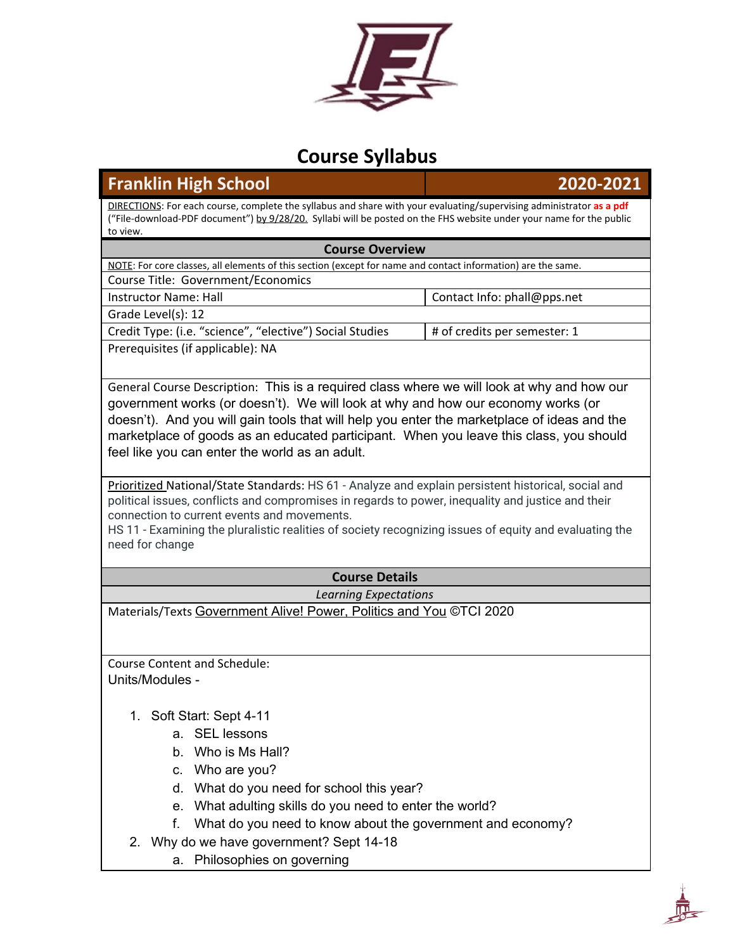

# **Course Syllabus**

## **Franklin High School 2020-2021**

DIRECTIONS: For each course, complete the syllabus and share with your evaluating/supervising administrator **as a pdf** ("File-download-PDF document") by 9/28/20. Syllabi will be posted on the FHS website under your name for the public to view.

#### **Course Overview**

NOTE: For core classes, all elements of this section (except for name and contact information) are the same. Course Title: Government/Economics

Instructor Name: Hall Manuscription Contact Info: phall@pps.net Grade Level(s): 12

Credit Type: (i.e. "science", "elective") Social Studies  $\|$  # of credits per semester: 1 Prerequisites (if applicable): NA

General Course Description: This is a required class where we will look at why and how our government works (or doesn't). We will look at why and how our economy works (or doesn't). And you will gain tools that will help you enter the marketplace of ideas and the marketplace of goods as an educated participant. When you leave this class, you should feel like you can enter the world as an adult.

Prioritized National/State Standards: HS 61 - Analyze and explain persistent historical, social and political issues, conflicts and compromises in regards to power, inequality and justice and their connection to current events and movements.

HS 11 - Examining the pluralistic realities of society recognizing issues of equity and evaluating the need for change

## **Course Details**

#### *Learning Expectations*

Materials/Texts Government Alive! Power, Politics and You ©TCI 2020

Course Content and Schedule: Units/Modules -

- 1. Soft Start: Sept 4-11
	- a. SEL lessons
	- b. Who is Ms Hall?
	- c. Who are you?
	- d. What do you need for school this year?
	- e. What adulting skills do you need to enter the world?
	- f. What do you need to know about the government and economy?
- 2. Why do we have government? Sept 14-18
	- a. Philosophies on governing

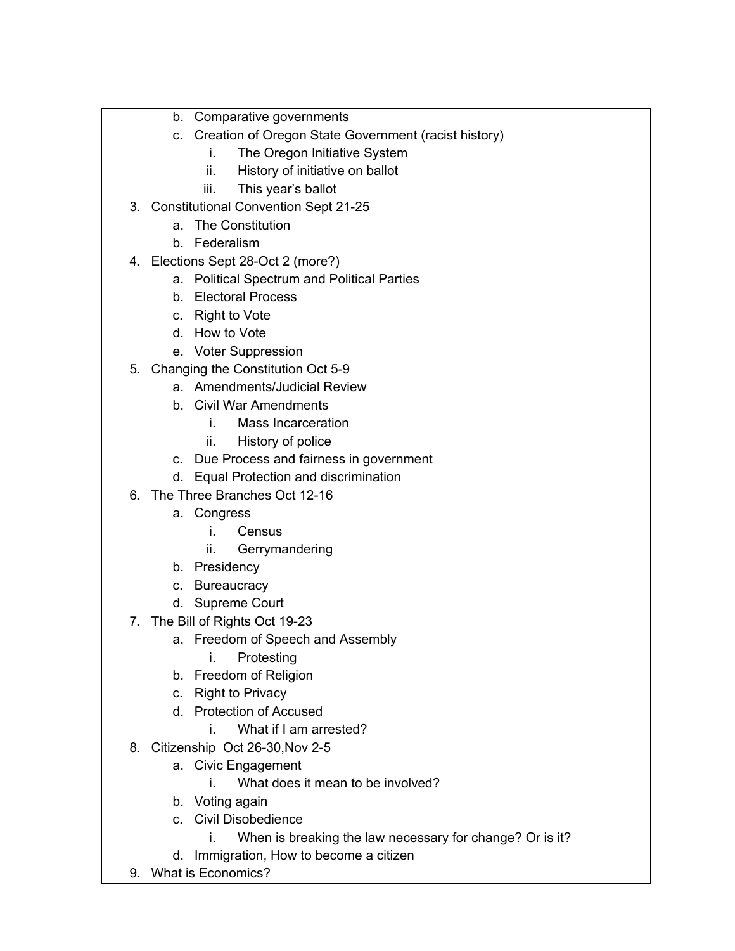- b. Comparative governments
- c. Creation of Oregon State Government (racist history)
	- i. The Oregon Initiative System
		- ii. History of initiative on ballot
	- iii. This year's ballot
- 3. Constitutional Convention Sept 21-25
	- a. The Constitution
	- b. Federalism
- 4. Elections Sept 28-Oct 2 (more?)
	- a. Political Spectrum and Political Parties
	- b. Electoral Process
	- c. Right to Vote
	- d. How to Vote
	- e. Voter Suppression
- 5. Changing the Constitution Oct 5-9
	- a. Amendments/Judicial Review
	- b. Civil War Amendments
		- i. Mass Incarceration
		- ii. History of police
	- c. Due Process and fairness in government
	- d. Equal Protection and discrimination
- 6. The Three Branches Oct 12-16
	- a. Congress
		- i. Census
		- ii. Gerrymandering
	- b. Presidency
	- c. Bureaucracy
	- d. Supreme Court
- 7. The Bill of Rights Oct 19-23
	- a. Freedom of Speech and Assembly
		- i. Protesting
	- b. Freedom of Religion
	- c. Right to Privacy
	- d. Protection of Accused
		- i. What if I am arrested?
- 8. Citizenship Oct 26-30,Nov 2-5
	- a. Civic Engagement
		- i. What does it mean to be involved?
	- b. Voting again
	- c. Civil Disobedience
		- i. When is breaking the law necessary for change? Or is it?
	- d. Immigration, How to become a citizen
- 9. What is Economics?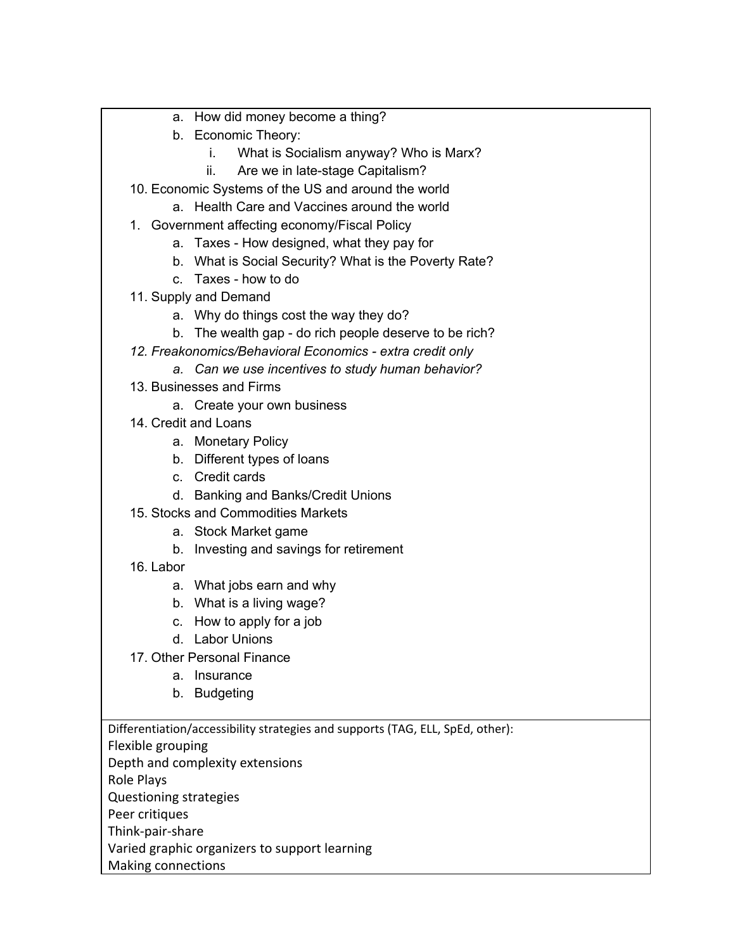- a. How did money become a thing?
- b. Economic Theory:
	- i. What is Socialism anyway? Who is Marx?
	- ii. Are we in late-stage Capitalism?
- 10. Economic Systems of the US and around the world
	- a. Health Care and Vaccines around the world
- 1. Government affecting economy/Fiscal Policy
	- a. Taxes How designed, what they pay for
	- b. What is Social Security? What is the Poverty Rate?
	- c. Taxes how to do
- 11. Supply and Demand
	- a. Why do things cost the way they do?
	- b. The wealth gap do rich people deserve to be rich?
- *12. Freakonomics/Behavioral Economics - extra credit only*
	- *a. Can we use incentives to study human behavior?*
- 13. Businesses and Firms
	- a. Create your own business
- 14. Credit and Loans
	- a. Monetary Policy
	- b. Different types of loans
	- c. Credit cards
	- d. Banking and Banks/Credit Unions
- 15. Stocks and Commodities Markets
	- a. Stock Market game
	- b. Investing and savings for retirement
- 16. Labor
	- a. What jobs earn and why
	- b. What is a living wage?
	- c. How to apply for a job
	- d. Labor Unions
- 17. Other Personal Finance
	- a. Insurance
	- b. Budgeting

Differentiation/accessibility strategies and supports (TAG, ELL, SpEd, other):

- Flexible grouping
- Depth and complexity extensions
- Role Plays
- Questioning strategies
- Peer critiques
- Think-pair-share
- Varied graphic organizers to support learning
- Making connections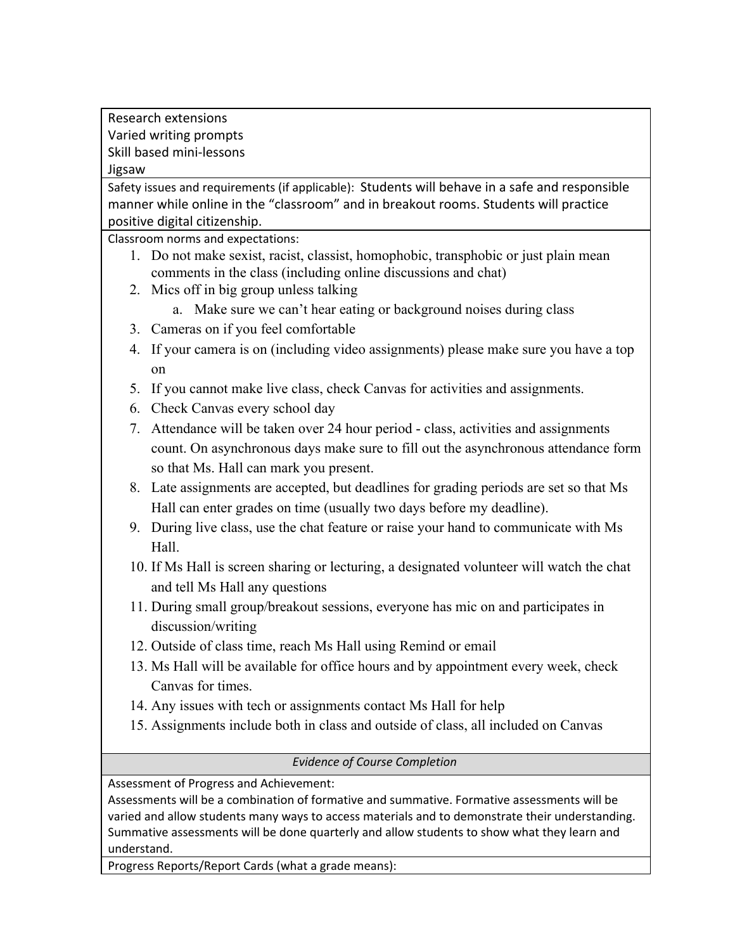Research extensions Varied writing prompts Skill based mini-lessons Jigsaw

Safety issues and requirements (if applicable): Students will behave in a safe and responsible manner while online in the "classroom" and in breakout rooms. Students will practice positive digital citizenship.

Classroom norms and expectations:

- 1. Do not make sexist, racist, classist, homophobic, transphobic or just plain mean comments in the class (including online discussions and chat)
- 2. Mics off in big group unless talking
	- a. Make sure we can't hear eating or background noises during class
- 3. Cameras on if you feel comfortable
- 4. If your camera is on (including video assignments) please make sure you have a top on
- 5. If you cannot make live class, check Canvas for activities and assignments.
- 6. Check Canvas every school day
- 7. Attendance will be taken over 24 hour period class, activities and assignments count. On asynchronous days make sure to fill out the asynchronous attendance form so that Ms. Hall can mark you present.
- 8. Late assignments are accepted, but deadlines for grading periods are set so that Ms Hall can enter grades on time (usually two days before my deadline).
- 9. During live class, use the chat feature or raise your hand to communicate with Ms Hall.
- 10. If Ms Hall is screen sharing or lecturing, a designated volunteer will watch the chat and tell Ms Hall any questions
- 11. During small group/breakout sessions, everyone has mic on and participates in discussion/writing
- 12. Outside of class time, reach Ms Hall using Remind or email
- 13. Ms Hall will be available for office hours and by appointment every week, check Canvas for times.
- 14. Any issues with tech or assignments contact Ms Hall for help
- 15. Assignments include both in class and outside of class, all included on Canvas

*Evidence of Course Completion*

Assessment of Progress and Achievement:

Assessments will be a combination of formative and summative. Formative assessments will be varied and allow students many ways to access materials and to demonstrate their understanding. Summative assessments will be done quarterly and allow students to show what they learn and understand.

Progress Reports/Report Cards (what a grade means):